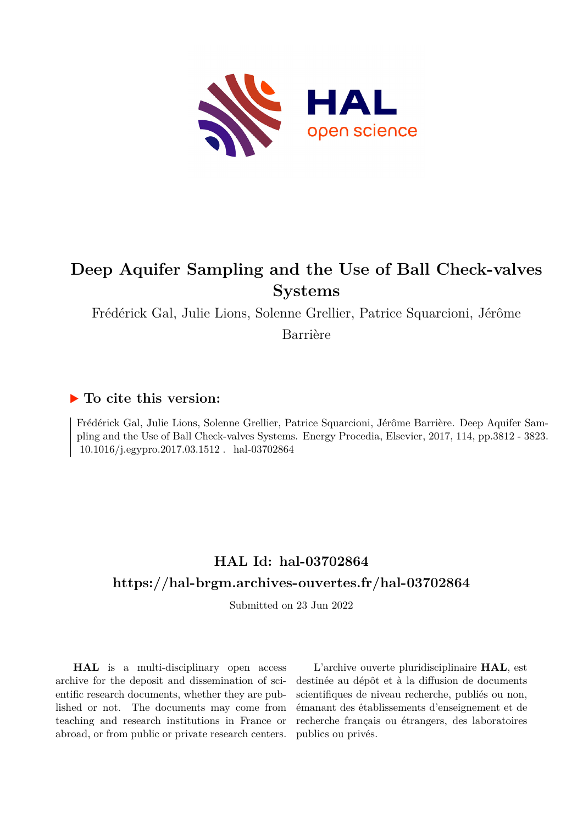

# **Deep Aquifer Sampling and the Use of Ball Check-valves Systems**

Frédérick Gal, Julie Lions, Solenne Grellier, Patrice Squarcioni, Jérôme

Barrière

# **To cite this version:**

Frédérick Gal, Julie Lions, Solenne Grellier, Patrice Squarcioni, Jérôme Barrière. Deep Aquifer Sampling and the Use of Ball Check-valves Systems. Energy Procedia, Elsevier, 2017, 114, pp.3812 - 3823.  $10.1016/j.egypro.2017.03.1512$  .  $\,$  hal-03702864

# **HAL Id: hal-03702864 <https://hal-brgm.archives-ouvertes.fr/hal-03702864>**

Submitted on 23 Jun 2022

**HAL** is a multi-disciplinary open access archive for the deposit and dissemination of scientific research documents, whether they are published or not. The documents may come from teaching and research institutions in France or abroad, or from public or private research centers.

L'archive ouverte pluridisciplinaire **HAL**, est destinée au dépôt et à la diffusion de documents scientifiques de niveau recherche, publiés ou non, émanant des établissements d'enseignement et de recherche français ou étrangers, des laboratoires publics ou privés.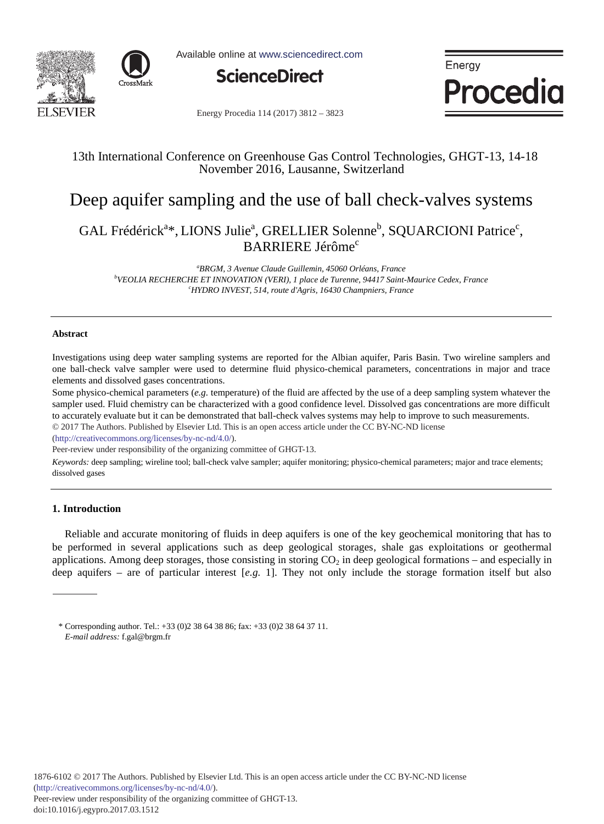



Available online at www.sciencedirect.com



Enerav Procedia

Energy Procedia 114 (2017) 3812 - 3823

## 13th International Conference on Greenhouse Gas Control Technologies, GHGT-13, 14-18 November 2016, Lausanne, Switzerland

# Deep aquifer sampling and the use of ball check-valves systems

## GAL Frédérick<sup>a\*</sup>, LIONS Julie<sup>a</sup>, GRELLIER Solenne<sup>b</sup>, SQUARCIONI Patrice<sup>c</sup>, BARRIERE Jérôme<sup>c</sup>

*a BRGM, 3 Avenue Claude Guillemin, 45060 Orléans, France b VEOLIA RECHERCHE ET INNOVATION (VERI), 1 place de Turenne, 94417 Saint-Maurice Cedex, France c HYDRO INVEST, 514, route d'Agris, 16430 Champniers, France* 

#### **Abstract**

Investigations using deep water sampling systems are reported for the Albian aquifer, Paris Basin. Two wireline samplers and one ball-check valve sampler were used to determine fluid physico-chemical parameters, concentrations in major and trace elements and dissolved gases concentrations.

Some physico-chemical parameters (*e.g.* temperature) of the fluid are affected by the use of a deep sampling system whatever the sampler used. Fluid chemistry can be characterized with a good confidence level. Dissolved gas concentrations are more difficult to accurately evaluate but it can be demonstrated that ball-check valves systems may help to improve to such measurements. © 2017 The Authors. Published by Elsevier Ltd. © 2017 The Authors. Published by Elsevier Ltd. This is an open access article under the CC BY-NC-ND license

(http://creativecommons.org/licenses/by-nc-nd/4.0/).

Peer-review under responsibility of the organizing committee of GHGT-13.

*Keywords:* deep sampling; wireline tool; ball-check valve sampler; aquifer monitoring; physico-chemical parameters; major and trace elements; dissolved gases

### **1. Introduction**

Reliable and accurate monitoring of fluids in deep aquifers is one of the key geochemical monitoring that has to be performed in several applications such as deep geological storages, shale gas exploitations or geothermal applications. Among deep storages, those consisting in storing  $CO<sub>2</sub>$  in deep geological formations – and especially in deep aquifers – are of particular interest [*e.g.* 1]. They not only include the storage formation itself but also

<sup>\*</sup> Corresponding author. Tel.: +33 (0)2 38 64 38 86; fax: +33 (0)2 38 64 37 11. *E-mail address:* f.gal@brgm.fr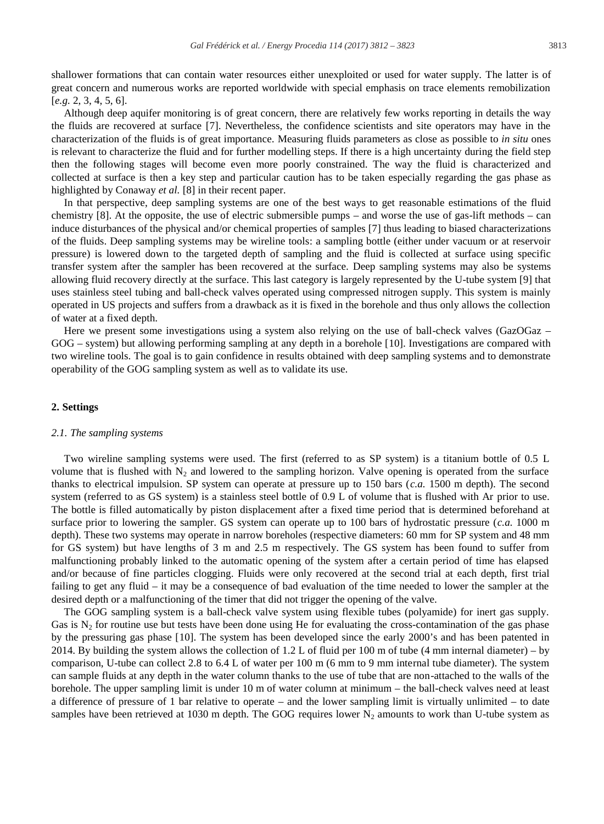shallower formations that can contain water resources either unexploited or used for water supply. The latter is of great concern and numerous works are reported worldwide with special emphasis on trace elements remobilization [*e.g.* 2, 3, 4, 5, 6].

Although deep aquifer monitoring is of great concern, there are relatively few works reporting in details the way the fluids are recovered at surface [7]. Nevertheless, the confidence scientists and site operators may have in the characterization of the fluids is of great importance. Measuring fluids parameters as close as possible to *in situ* ones is relevant to characterize the fluid and for further modelling steps. If there is a high uncertainty during the field step then the following stages will become even more poorly constrained. The way the fluid is characterized and collected at surface is then a key step and particular caution has to be taken especially regarding the gas phase as highlighted by Conaway *et al.* [8] in their recent paper.

In that perspective, deep sampling systems are one of the best ways to get reasonable estimations of the fluid chemistry  $[8]$ . At the opposite, the use of electric submersible pumps – and worse the use of gas-lift methods – can induce disturbances of the physical and/or chemical properties of samples [7] thus leading to biased characterizations of the fluids. Deep sampling systems may be wireline tools: a sampling bottle (either under vacuum or at reservoir pressure) is lowered down to the targeted depth of sampling and the fluid is collected at surface using specific transfer system after the sampler has been recovered at the surface. Deep sampling systems may also be systems allowing fluid recovery directly at the surface. This last category is largely represented by the U-tube system [9] that uses stainless steel tubing and ball-check valves operated using compressed nitrogen supply. This system is mainly operated in US projects and suffers from a drawback as it is fixed in the borehole and thus only allows the collection of water at a fixed depth.

Here we present some investigations using a system also relying on the use of ball-check valves (GazOGaz – GOG – system) but allowing performing sampling at any depth in a borehole [10]. Investigations are compared with two wireline tools. The goal is to gain confidence in results obtained with deep sampling systems and to demonstrate operability of the GOG sampling system as well as to validate its use.

#### **2. Settings**

#### *2.1. The sampling systems*

Two wireline sampling systems were used. The first (referred to as SP system) is a titanium bottle of 0.5 L volume that is flushed with  $N_2$  and lowered to the sampling horizon. Valve opening is operated from the surface thanks to electrical impulsion. SP system can operate at pressure up to 150 bars (*c.a.* 1500 m depth). The second system (referred to as GS system) is a stainless steel bottle of 0.9 L of volume that is flushed with Ar prior to use. The bottle is filled automatically by piston displacement after a fixed time period that is determined beforehand at surface prior to lowering the sampler. GS system can operate up to 100 bars of hydrostatic pressure (*c.a.* 1000 m depth). These two systems may operate in narrow boreholes (respective diameters: 60 mm for SP system and 48 mm for GS system) but have lengths of 3 m and 2.5 m respectively. The GS system has been found to suffer from malfunctioning probably linked to the automatic opening of the system after a certain period of time has elapsed and/or because of fine particles clogging. Fluids were only recovered at the second trial at each depth, first trial failing to get any fluid – it may be a consequence of bad evaluation of the time needed to lower the sampler at the desired depth or a malfunctioning of the timer that did not trigger the opening of the valve.

The GOG sampling system is a ball-check valve system using flexible tubes (polyamide) for inert gas supply. Gas is  $N_2$  for routine use but tests have been done using He for evaluating the cross-contamination of the gas phase by the pressuring gas phase [10]. The system has been developed since the early 2000's and has been patented in 2014. By building the system allows the collection of 1.2 L of fluid per 100 m of tube (4 mm internal diameter) – by comparison, U-tube can collect 2.8 to 6.4 L of water per 100 m (6 mm to 9 mm internal tube diameter). The system can sample fluids at any depth in the water column thanks to the use of tube that are non-attached to the walls of the borehole. The upper sampling limit is under 10 m of water column at minimum – the ball-check valves need at least a difference of pressure of 1 bar relative to operate – and the lower sampling limit is virtually unlimited – to date samples have been retrieved at 1030 m depth. The GOG requires lower  $N_2$  amounts to work than U-tube system as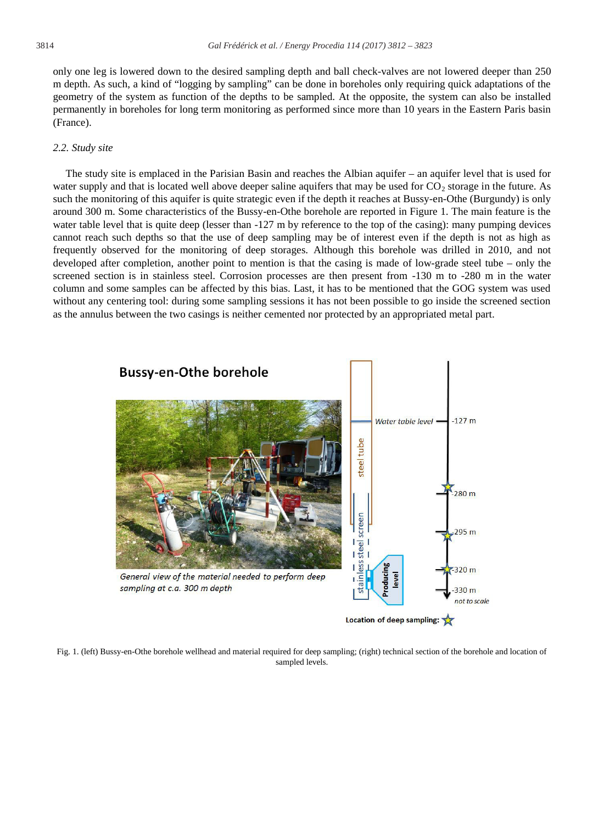only one leg is lowered down to the desired sampling depth and ball check-valves are not lowered deeper than 250 m depth. As such, a kind of "logging by sampling" can be done in boreholes only requiring quick adaptations of the geometry of the system as function of the depths to be sampled. At the opposite, the system can also be installed permanently in boreholes for long term monitoring as performed since more than 10 years in the Eastern Paris basin (France).

#### *2.2. Study site*

The study site is emplaced in the Parisian Basin and reaches the Albian aquifer – an aquifer level that is used for water supply and that is located well above deeper saline aquifers that may be used for  $CO<sub>2</sub>$  storage in the future. As such the monitoring of this aquifer is quite strategic even if the depth it reaches at Bussy-en-Othe (Burgundy) is only around 300 m. Some characteristics of the Bussy-en-Othe borehole are reported in Figure 1. The main feature is the water table level that is quite deep (lesser than -127 m by reference to the top of the casing): many pumping devices cannot reach such depths so that the use of deep sampling may be of interest even if the depth is not as high as frequently observed for the monitoring of deep storages. Although this borehole was drilled in 2010, and not developed after completion, another point to mention is that the casing is made of low-grade steel tube – only the screened section is in stainless steel. Corrosion processes are then present from -130 m to -280 m in the water column and some samples can be affected by this bias. Last, it has to be mentioned that the GOG system was used without any centering tool: during some sampling sessions it has not been possible to go inside the screened section as the annulus between the two casings is neither cemented nor protected by an appropriated metal part.



Fig. 1. (left) Bussy-en-Othe borehole wellhead and material required for deep sampling; (right) technical section of the borehole and location of sampled levels.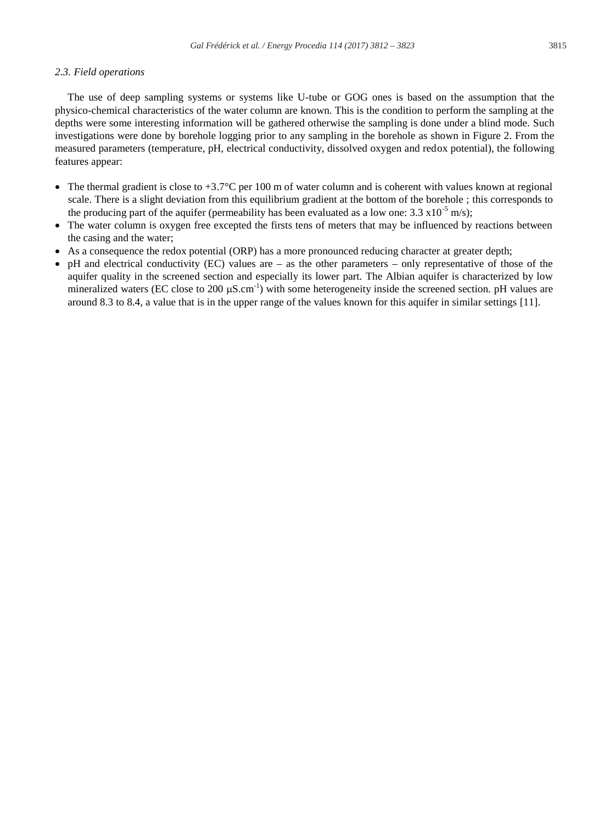### *2.3. Field operations*

The use of deep sampling systems or systems like U-tube or GOG ones is based on the assumption that the physico-chemical characteristics of the water column are known. This is the condition to perform the sampling at the depths were some interesting information will be gathered otherwise the sampling is done under a blind mode. Such investigations were done by borehole logging prior to any sampling in the borehole as shown in Figure 2. From the measured parameters (temperature, pH, electrical conductivity, dissolved oxygen and redox potential), the following features appear:

- The thermal gradient is close to  $+3.7^{\circ}$ C per 100 m of water column and is coherent with values known at regional scale. There is a slight deviation from this equilibrium gradient at the bottom of the borehole ; this corresponds to the producing part of the aquifer (permeability has been evaluated as a low one: 3.3  $x10^{-5}$  m/s);
- The water column is oxygen free excepted the firsts tens of meters that may be influenced by reactions between the casing and the water;
- As a consequence the redox potential (ORP) has a more pronounced reducing character at greater depth;
- x pH and electrical conductivity (EC) values are as the other parameters only representative of those of the aquifer quality in the screened section and especially its lower part. The Albian aquifer is characterized by low mineralized waters (EC close to 200  $\mu$ S.cm<sup>-1</sup>) with some heterogeneity inside the screened section. pH values are around 8.3 to 8.4, a value that is in the upper range of the values known for this aquifer in similar settings [11].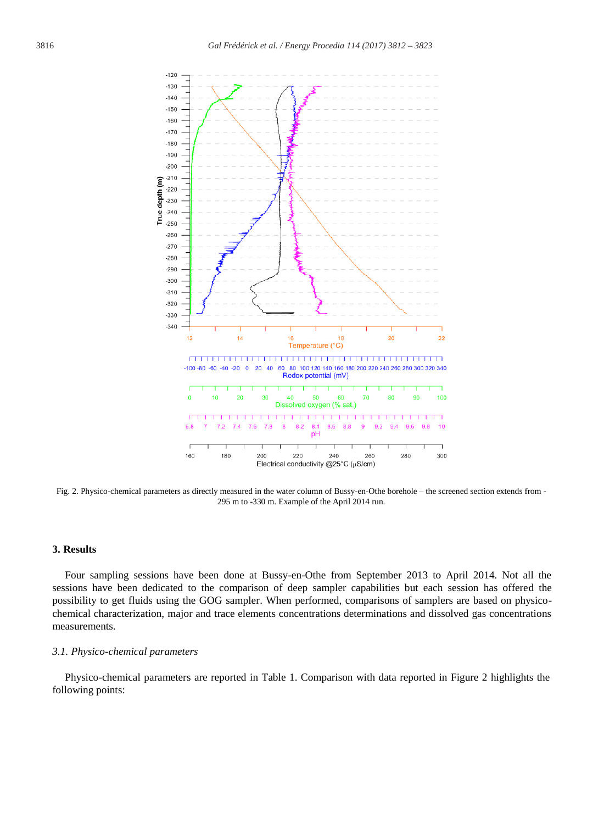

Fig. 2. Physico-chemical parameters as directly measured in the water column of Bussy-en-Othe borehole – the screened section extends from - 295 m to -330 m. Example of the April 2014 run.

### **3. Results**

Four sampling sessions have been done at Bussy-en-Othe from September 2013 to April 2014. Not all the sessions have been dedicated to the comparison of deep sampler capabilities but each session has offered the possibility to get fluids using the GOG sampler. When performed, comparisons of samplers are based on physicochemical characterization, major and trace elements concentrations determinations and dissolved gas concentrations measurements.

#### *3.1. Physico-chemical parameters*

Physico-chemical parameters are reported in Table 1. Comparison with data reported in Figure 2 highlights the following points: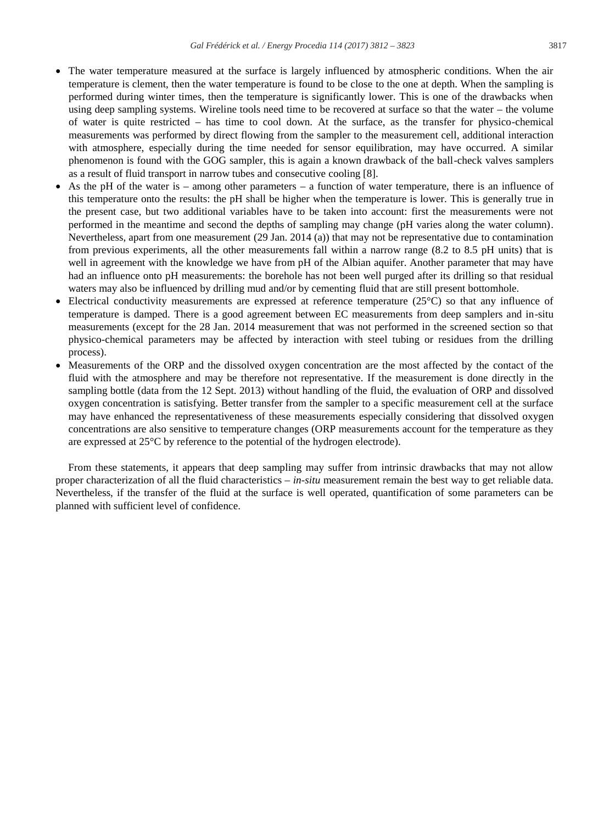- The water temperature measured at the surface is largely influenced by atmospheric conditions. When the air temperature is clement, then the water temperature is found to be close to the one at depth. When the sampling is performed during winter times, then the temperature is significantly lower. This is one of the drawbacks when using deep sampling systems. Wireline tools need time to be recovered at surface so that the water – the volume of water is quite restricted – has time to cool down. At the surface, as the transfer for physico-chemical measurements was performed by direct flowing from the sampler to the measurement cell, additional interaction with atmosphere, especially during the time needed for sensor equilibration, may have occurred. A similar phenomenon is found with the GOG sampler, this is again a known drawback of the ball-check valves samplers as a result of fluid transport in narrow tubes and consecutive cooling [8].
- As the pH of the water is among other parameters a function of water temperature, there is an influence of this temperature onto the results: the pH shall be higher when the temperature is lower. This is generally true in the present case, but two additional variables have to be taken into account: first the measurements were not performed in the meantime and second the depths of sampling may change (pH varies along the water column). Nevertheless, apart from one measurement (29 Jan. 2014 (a)) that may not be representative due to contamination from previous experiments, all the other measurements fall within a narrow range (8.2 to 8.5 pH units) that is well in agreement with the knowledge we have from pH of the Albian aquifer. Another parameter that may have had an influence onto pH measurements: the borehole has not been well purged after its drilling so that residual waters may also be influenced by drilling mud and/or by cementing fluid that are still present bottomhole.
- Electrical conductivity measurements are expressed at reference temperature (25°C) so that any influence of temperature is damped. There is a good agreement between EC measurements from deep samplers and in-situ measurements (except for the 28 Jan. 2014 measurement that was not performed in the screened section so that physico-chemical parameters may be affected by interaction with steel tubing or residues from the drilling process).
- Measurements of the ORP and the dissolved oxygen concentration are the most affected by the contact of the fluid with the atmosphere and may be therefore not representative. If the measurement is done directly in the sampling bottle (data from the 12 Sept. 2013) without handling of the fluid, the evaluation of ORP and dissolved oxygen concentration is satisfying. Better transfer from the sampler to a specific measurement cell at the surface may have enhanced the representativeness of these measurements especially considering that dissolved oxygen concentrations are also sensitive to temperature changes (ORP measurements account for the temperature as they are expressed at 25°C by reference to the potential of the hydrogen electrode).

From these statements, it appears that deep sampling may suffer from intrinsic drawbacks that may not allow proper characterization of all the fluid characteristics – *in-situ* measurement remain the best way to get reliable data. Nevertheless, if the transfer of the fluid at the surface is well operated, quantification of some parameters can be planned with sufficient level of confidence.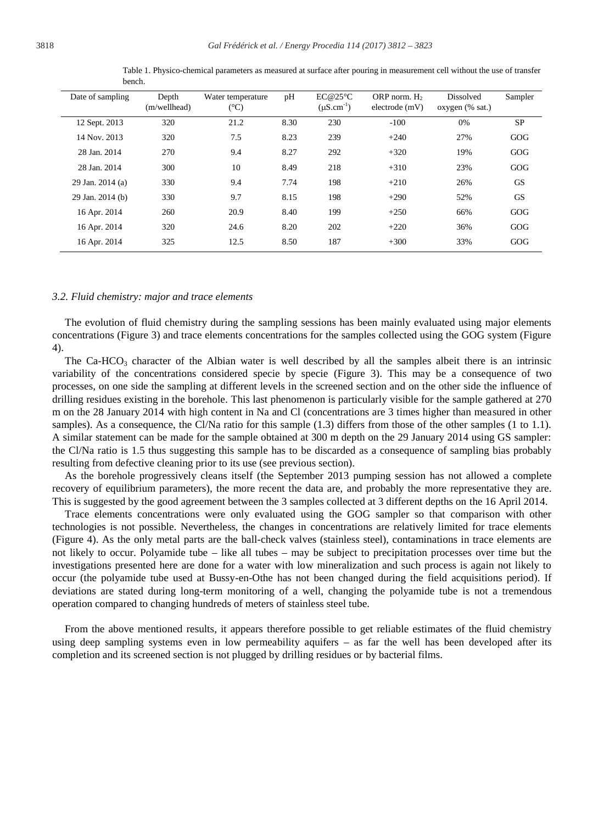| Date of sampling | Depth<br>(m/wellhead) | Water temperature<br>$(^{\circ}C)$ | pH   | EC@25°C<br>$(\mu S.cm^{-1})$ | ORP norm. $H_2$<br>electrode(mV) | <b>Dissolved</b><br>oxygen (% sat.) | Sampler   |
|------------------|-----------------------|------------------------------------|------|------------------------------|----------------------------------|-------------------------------------|-----------|
| 12 Sept. 2013    | 320                   | 21.2                               | 8.30 | 230                          | $-100$                           | 0%                                  | <b>SP</b> |
| 14 Nov. 2013     | 320                   | 7.5                                | 8.23 | 239                          | $+240$                           | 27%                                 | GOG       |
| 28 Jan. 2014     | 270                   | 9.4                                | 8.27 | 292                          | $+320$                           | 19%                                 | GOG       |
| 28 Jan. 2014     | 300                   | 10                                 | 8.49 | 218                          | $+310$                           | 23%                                 | GOG       |
| 29 Jan. 2014 (a) | 330                   | 9.4                                | 7.74 | 198                          | $+210$                           | 26%                                 | <b>GS</b> |
| 29 Jan. 2014 (b) | 330                   | 9.7                                | 8.15 | 198                          | $+290$                           | 52%                                 | <b>GS</b> |
| 16 Apr. 2014     | 260                   | 20.9                               | 8.40 | 199                          | $+250$                           | 66%                                 | GOG       |
| 16 Apr. 2014     | 320                   | 24.6                               | 8.20 | 202                          | $+220$                           | 36%                                 | GOG       |
| 16 Apr. 2014     | 325                   | 12.5                               | 8.50 | 187                          | $+300$                           | 33%                                 | GOG       |

Table 1. Physico-chemical parameters as measured at surface after pouring in measurement cell without the use of transfer bench.

#### *3.2. Fluid chemistry: major and trace elements*

The evolution of fluid chemistry during the sampling sessions has been mainly evaluated using major elements concentrations (Figure 3) and trace elements concentrations for the samples collected using the GOG system (Figure 4).

The Ca-HCO<sub>3</sub> character of the Albian water is well described by all the samples albeit there is an intrinsic variability of the concentrations considered specie by specie (Figure 3). This may be a consequence of two processes, on one side the sampling at different levels in the screened section and on the other side the influence of drilling residues existing in the borehole. This last phenomenon is particularly visible for the sample gathered at 270 m on the 28 January 2014 with high content in Na and Cl (concentrations are 3 times higher than measured in other samples). As a consequence, the Cl/Na ratio for this sample (1.3) differs from those of the other samples (1 to 1.1). A similar statement can be made for the sample obtained at 300 m depth on the 29 January 2014 using GS sampler: the Cl/Na ratio is 1.5 thus suggesting this sample has to be discarded as a consequence of sampling bias probably resulting from defective cleaning prior to its use (see previous section).

As the borehole progressively cleans itself (the September 2013 pumping session has not allowed a complete recovery of equilibrium parameters), the more recent the data are, and probably the more representative they are. This is suggested by the good agreement between the 3 samples collected at 3 different depths on the 16 April 2014.

Trace elements concentrations were only evaluated using the GOG sampler so that comparison with other technologies is not possible. Nevertheless, the changes in concentrations are relatively limited for trace elements (Figure 4). As the only metal parts are the ball-check valves (stainless steel), contaminations in trace elements are not likely to occur. Polyamide tube – like all tubes – may be subject to precipitation processes over time but the investigations presented here are done for a water with low mineralization and such process is again not likely to occur (the polyamide tube used at Bussy-en-Othe has not been changed during the field acquisitions period). If deviations are stated during long-term monitoring of a well, changing the polyamide tube is not a tremendous operation compared to changing hundreds of meters of stainless steel tube.

From the above mentioned results, it appears therefore possible to get reliable estimates of the fluid chemistry using deep sampling systems even in low permeability aquifers – as far the well has been developed after its completion and its screened section is not plugged by drilling residues or by bacterial films.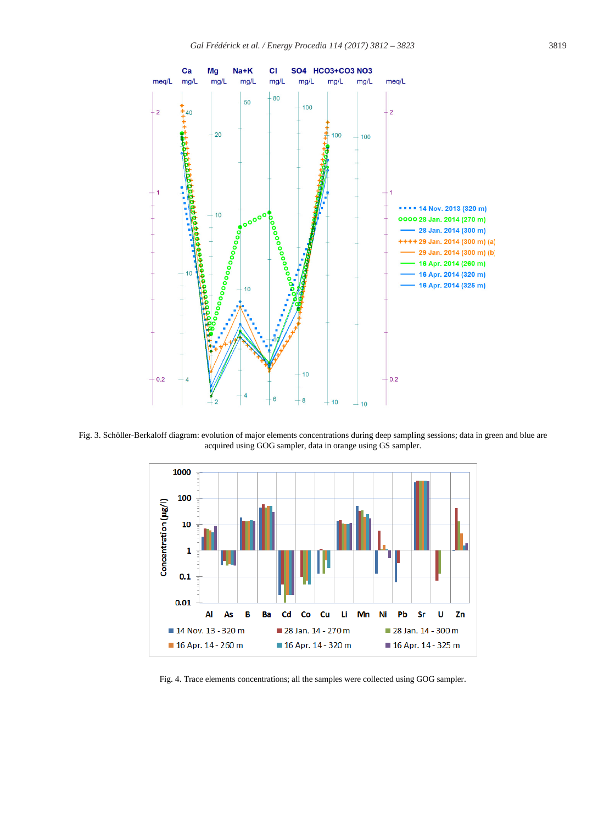

Fig. 3. Schöller-Berkaloff diagram: evolution of major elements concentrations during deep sampling sessions; data in green and blue are acquired using GOG sampler, data in orange using GS sampler.



Fig. 4. Trace elements concentrations; all the samples were collected using GOG sampler.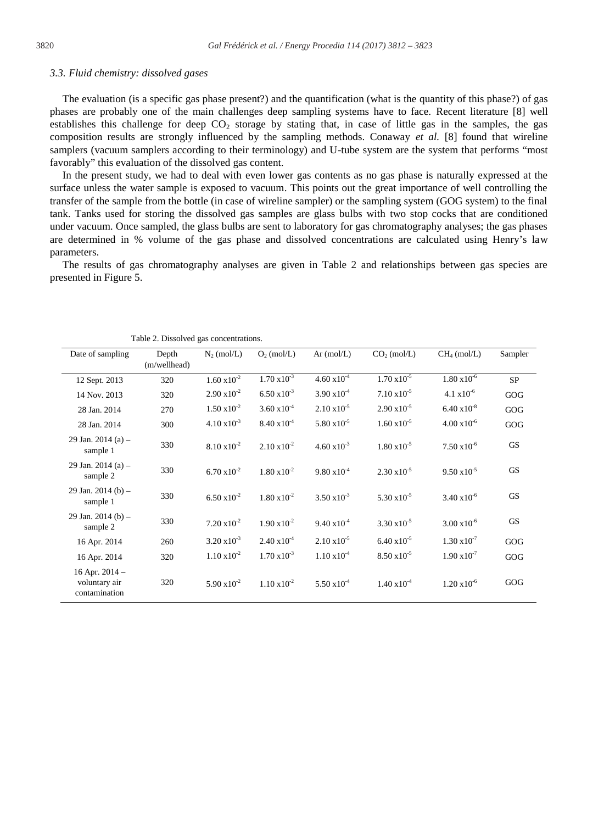#### *3.3. Fluid chemistry: dissolved gases*

The evaluation (is a specific gas phase present?) and the quantification (what is the quantity of this phase?) of gas phases are probably one of the main challenges deep sampling systems have to face. Recent literature [8] well establishes this challenge for deep  $CO<sub>2</sub>$  storage by stating that, in case of little gas in the samples, the gas composition results are strongly influenced by the sampling methods. Conaway *et al.* [8] found that wireline samplers (vacuum samplers according to their terminology) and U-tube system are the system that performs "most favorably" this evaluation of the dissolved gas content.

In the present study, we had to deal with even lower gas contents as no gas phase is naturally expressed at the surface unless the water sample is exposed to vacuum. This points out the great importance of well controlling the transfer of the sample from the bottle (in case of wireline sampler) or the sampling system (GOG system) to the final tank. Tanks used for storing the dissolved gas samples are glass bulbs with two stop cocks that are conditioned under vacuum. Once sampled, the glass bulbs are sent to laboratory for gas chromatography analyses; the gas phases are determined in % volume of the gas phase and dissolved concentrations are calculated using Henry's law parameters.

The results of gas chromatography analyses are given in Table 2 and relationships between gas species are presented in Figure 5.

| raoic $\epsilon$ . Dissorved gas concentrations.   |                       |                       |                       |                       |                         |                       |           |  |  |
|----------------------------------------------------|-----------------------|-----------------------|-----------------------|-----------------------|-------------------------|-----------------------|-----------|--|--|
| Date of sampling                                   | Depth<br>(m/wellhead) | $N_2$ (mol/L)         | $O2$ (mol/L)          | Ar $(mol/L)$          | CO <sub>2</sub> (mol/L) | $CH4$ (mol/L)         | Sampler   |  |  |
| 12 Sept. 2013                                      | 320                   | $1.60 \times 10^{-2}$ | $1.70 \times 10^{-3}$ | $4.60 \times 10^{-4}$ | $1.70 \times 10^{-5}$   | $1.80 \times 10^{-6}$ | SP        |  |  |
| 14 Nov. 2013                                       | 320                   | $2.90 \times 10^{-2}$ | $6.50 \times 10^{-3}$ | $3.90 \times 10^{-4}$ | $7.10 \times 10^{-5}$   | $4.1 \times 10^{-6}$  | GOG       |  |  |
| 28 Jan. 2014                                       | 270                   | $1.50 \times 10^{-2}$ | $3.60 \times 10^{-4}$ | $2.10 \times 10^{-5}$ | $2.90 \times 10^{-5}$   | $6.40 \times 10^{-8}$ | GOG       |  |  |
| 28 Jan. 2014                                       | 300                   | $4.10 \times 10^{-3}$ | $8.40 \times 10^{-4}$ | $5.80 \times 10^{-5}$ | $1.60 \times 10^{-5}$   | $4.00 \times 10^{-6}$ | GOG       |  |  |
| 29 Jan. 2014 (a) $-$<br>sample 1                   | 330                   | $8.10 \times 10^{-2}$ | $2.10 \times 10^{-2}$ | $4.60 \times 10^{-3}$ | $1.80 \times 10^{-5}$   | $7.50 \times 10^{-6}$ | <b>GS</b> |  |  |
| 29 Jan. 2014 (a) $-$<br>sample 2                   | 330                   | $6.70 \times 10^{-2}$ | $1.80 \times 10^{-2}$ | $9.80 \times 10^{-4}$ | $2.30 \times 10^{-5}$   | $9.50 \times 10^{-5}$ | <b>GS</b> |  |  |
| 29 Jan. $2014(b)$ –<br>sample 1                    | 330                   | $6.50 \times 10^{-2}$ | $1.80 \times 10^{-2}$ | $3.50 \times 10^{-3}$ | $5.30 \times 10^{-5}$   | $3.40 \times 10^{-6}$ | <b>GS</b> |  |  |
| 29 Jan. 2014 (b) $-$<br>sample 2                   | 330                   | $7.20 \times 10^{-2}$ | $1.90 \times 10^{-2}$ | $9.40 \times 10^{-4}$ | $3.30 \times 10^{-5}$   | $3.00 \times 10^{-6}$ | <b>GS</b> |  |  |
| 16 Apr. 2014                                       | 260                   | $3.20 \times 10^{-3}$ | $2.40 \times 10^{-4}$ | $2.10 \times 10^{-5}$ | $6.40 \times 10^{-5}$   | $1.30 \times 10^{-7}$ | GOG       |  |  |
| 16 Apr. 2014                                       | 320                   | $1.10 \times 10^{-2}$ | $1.70 \times 10^{-3}$ | $1.10 \times 10^{-4}$ | $8.50 \times 10^{-5}$   | $1.90 \times 10^{-7}$ | GOG       |  |  |
| 16 Apr. $2014 -$<br>voluntary air<br>contamination | 320                   | $5.90 \times 10^{-2}$ | $1.10 \times 10^{-2}$ | $5.50 \times 10^{-4}$ | $1.40 \times 10^{-4}$   | $1.20 \times 10^{-6}$ | GOG       |  |  |

Table 2. Dissolved gas concentrations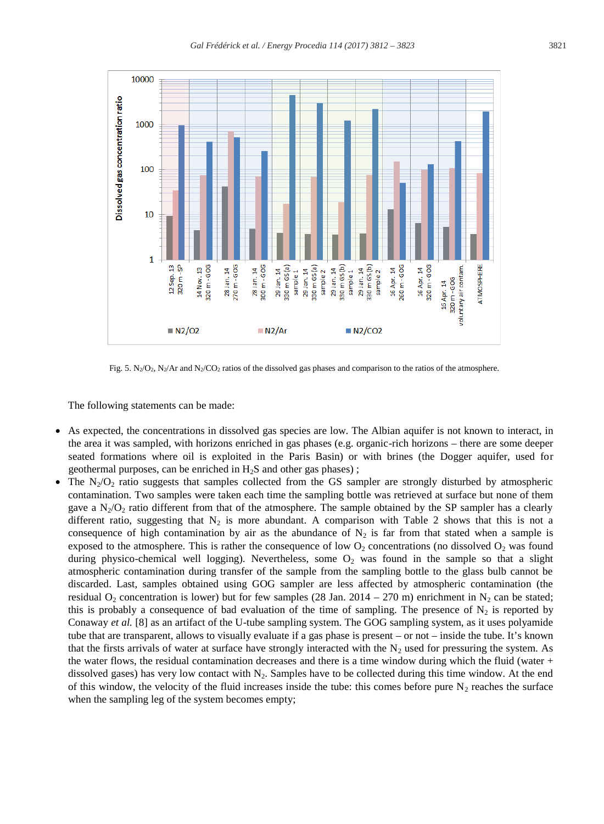

Fig. 5. N<sub>2</sub>/O<sub>2</sub>, N<sub>2</sub>/Ar and N<sub>2</sub>/CO<sub>2</sub> ratios of the dissolved gas phases and comparison to the ratios of the atmosphere.

The following statements can be made:

- As expected, the concentrations in dissolved gas species are low. The Albian aquifer is not known to interact, in the area it was sampled, with horizons enriched in gas phases (e.g. organic-rich horizons – there are some deeper seated formations where oil is exploited in the Paris Basin) or with brines (the Dogger aquifer, used for geothermal purposes, can be enriched in  $H_2S$  and other gas phases);
- The  $N_2/O_2$  ratio suggests that samples collected from the GS sampler are strongly disturbed by atmospheric contamination. Two samples were taken each time the sampling bottle was retrieved at surface but none of them gave a  $N_2/O_2$  ratio different from that of the atmosphere. The sample obtained by the SP sampler has a clearly different ratio, suggesting that  $N_2$  is more abundant. A comparison with Table 2 shows that this is not a consequence of high contamination by air as the abundance of  $N_2$  is far from that stated when a sample is exposed to the atmosphere. This is rather the consequence of low  $O_2$  concentrations (no dissolved  $O_2$  was found during physico-chemical well logging). Nevertheless, some  $O_2$  was found in the sample so that a slight atmospheric contamination during transfer of the sample from the sampling bottle to the glass bulb cannot be discarded. Last, samples obtained using GOG sampler are less affected by atmospheric contamination (the residual O<sub>2</sub> concentration is lower) but for few samples (28 Jan. 2014 – 270 m) enrichment in N<sub>2</sub> can be stated; this is probably a consequence of bad evaluation of the time of sampling. The presence of  $N_2$  is reported by Conaway *et al.* [8] as an artifact of the U-tube sampling system. The GOG sampling system, as it uses polyamide tube that are transparent, allows to visually evaluate if a gas phase is present – or not – inside the tube. It's known that the firsts arrivals of water at surface have strongly interacted with the  $N_2$  used for pressuring the system. As the water flows, the residual contamination decreases and there is a time window during which the fluid (water  $+$ dissolved gases) has very low contact with  $N_2$ . Samples have to be collected during this time window. At the end of this window, the velocity of the fluid increases inside the tube: this comes before pure  $N_2$  reaches the surface when the sampling leg of the system becomes empty;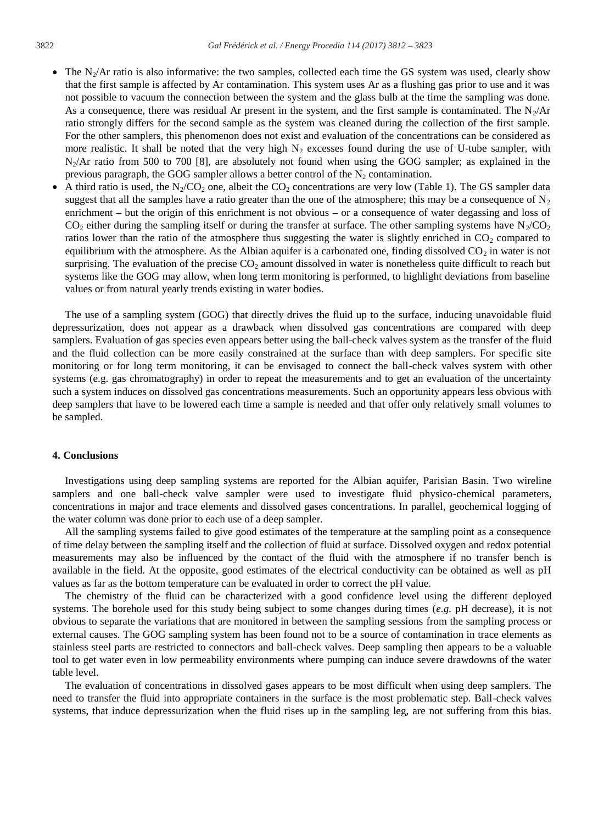- $\bullet$  The N<sub>2</sub>/Ar ratio is also informative: the two samples, collected each time the GS system was used, clearly show that the first sample is affected by Ar contamination. This system uses Ar as a flushing gas prior to use and it was not possible to vacuum the connection between the system and the glass bulb at the time the sampling was done. As a consequence, there was residual Ar present in the system, and the first sample is contaminated. The  $N_2/Ar$ ratio strongly differs for the second sample as the system was cleaned during the collection of the first sample. For the other samplers, this phenomenon does not exist and evaluation of the concentrations can be considered as more realistic. It shall be noted that the very high  $N_2$  excesses found during the use of U-tube sampler, with  $N_2/Ar$  ratio from 500 to 700 [8], are absolutely not found when using the GOG sampler; as explained in the previous paragraph, the GOG sampler allows a better control of the  $N_2$  contamination.
- A third ratio is used, the N<sub>2</sub>/CO<sub>2</sub> one, albeit the CO<sub>2</sub> concentrations are very low (Table 1). The GS sampler data suggest that all the samples have a ratio greater than the one of the atmosphere; this may be a consequence of  $N<sub>2</sub>$ enrichment – but the origin of this enrichment is not obvious – or a consequence of water degassing and loss of  $CO_2$  either during the sampling itself or during the transfer at surface. The other sampling systems have  $N_2/CO_2$ ratios lower than the ratio of the atmosphere thus suggesting the water is slightly enriched in  $CO<sub>2</sub>$  compared to equilibrium with the atmosphere. As the Albian aquifer is a carbonated one, finding dissolved  $CO<sub>2</sub>$  in water is not surprising. The evaluation of the precise  $CO<sub>2</sub>$  amount dissolved in water is nonetheless quite difficult to reach but systems like the GOG may allow, when long term monitoring is performed, to highlight deviations from baseline values or from natural yearly trends existing in water bodies.

The use of a sampling system (GOG) that directly drives the fluid up to the surface, inducing unavoidable fluid depressurization, does not appear as a drawback when dissolved gas concentrations are compared with deep samplers. Evaluation of gas species even appears better using the ball-check valves system as the transfer of the fluid and the fluid collection can be more easily constrained at the surface than with deep samplers. For specific site monitoring or for long term monitoring, it can be envisaged to connect the ball-check valves system with other systems (e.g. gas chromatography) in order to repeat the measurements and to get an evaluation of the uncertainty such a system induces on dissolved gas concentrations measurements. Such an opportunity appears less obvious with deep samplers that have to be lowered each time a sample is needed and that offer only relatively small volumes to be sampled.

#### **4. Conclusions**

Investigations using deep sampling systems are reported for the Albian aquifer, Parisian Basin. Two wireline samplers and one ball-check valve sampler were used to investigate fluid physico-chemical parameters, concentrations in major and trace elements and dissolved gases concentrations. In parallel, geochemical logging of the water column was done prior to each use of a deep sampler.

All the sampling systems failed to give good estimates of the temperature at the sampling point as a consequence of time delay between the sampling itself and the collection of fluid at surface. Dissolved oxygen and redox potential measurements may also be influenced by the contact of the fluid with the atmosphere if no transfer bench is available in the field. At the opposite, good estimates of the electrical conductivity can be obtained as well as pH values as far as the bottom temperature can be evaluated in order to correct the pH value.

The chemistry of the fluid can be characterized with a good confidence level using the different deployed systems. The borehole used for this study being subject to some changes during times (*e.g.* pH decrease), it is not obvious to separate the variations that are monitored in between the sampling sessions from the sampling process or external causes. The GOG sampling system has been found not to be a source of contamination in trace elements as stainless steel parts are restricted to connectors and ball-check valves. Deep sampling then appears to be a valuable tool to get water even in low permeability environments where pumping can induce severe drawdowns of the water table level.

The evaluation of concentrations in dissolved gases appears to be most difficult when using deep samplers. The need to transfer the fluid into appropriate containers in the surface is the most problematic step. Ball-check valves systems, that induce depressurization when the fluid rises up in the sampling leg, are not suffering from this bias.